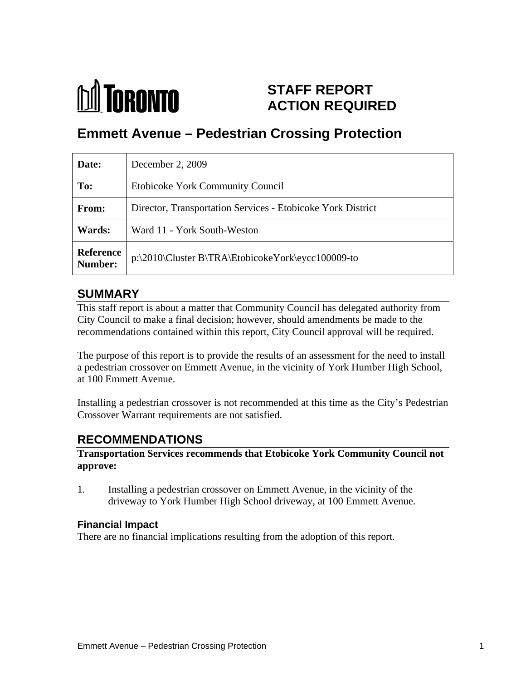

# **STAFF REPORT ACTION REQUIRED**

# **Emmett Avenue – Pedestrian Crossing Protection**

| Date:  | December 2, 2009                                              |
|--------|---------------------------------------------------------------|
| To:    | <b>Etobicoke York Community Council</b>                       |
| From:  | Director, Transportation Services - Etobicoke York District   |
| Wards: | Ward 11 - York South-Weston                                   |
|        | Reference   p:\2010\Cluster B\TRA\EtobicokeYork\eycc100009-to |

## **SUMMARY**

This staff report is about a matter that Community Council has delegated authority from City Council to make a final decision; however, should amendments be made to the recommendations contained within this report, City Council approval will be required.

The purpose of this report is to provide the results of an assessment for the need to install a pedestrian crossover on Emmett Avenue, in the vicinity of York Humber High School, at 100 Emmett Avenue.

Installing a pedestrian crossover is not recommended at this time as the City's Pedestrian Crossover Warrant requirements are not satisfied.

# **RECOMMENDATIONS**

#### **Transportation Services recommends that Etobicoke York Community Council not approve:**

1. Installing a pedestrian crossover on Emmett Avenue, in the vicinity of the driveway to York Humber High School driveway, at 100 Emmett Avenue.

#### **Financial Impact**

There are no financial implications resulting from the adoption of this report.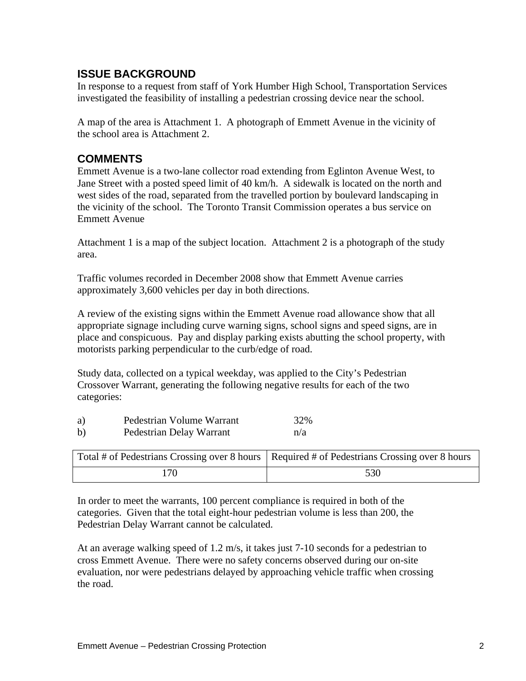## **ISSUE BACKGROUND**

In response to a request from staff of York Humber High School, Transportation Services investigated the feasibility of installing a pedestrian crossing device near the school.

A map of the area is Attachment 1. A photograph of Emmett Avenue in the vicinity of the school area is Attachment 2.

#### **COMMENTS**

Emmett Avenue is a two-lane collector road extending from Eglinton Avenue West, to Jane Street with a posted speed limit of 40 km/h. A sidewalk is located on the north and west sides of the road, separated from the travelled portion by boulevard landscaping in the vicinity of the school. The Toronto Transit Commission operates a bus service on Emmett Avenue

Attachment 1 is a map of the subject location. Attachment 2 is a photograph of the study area.

Traffic volumes recorded in December 2008 show that Emmett Avenue carries approximately 3,600 vehicles per day in both directions.

A review of the existing signs within the Emmett Avenue road allowance show that all appropriate signage including curve warning signs, school signs and speed signs, are in place and conspicuous. Pay and display parking exists abutting the school property, with motorists parking perpendicular to the curb/edge of road.

Study data, collected on a typical weekday, was applied to the City's Pedestrian Crossover Warrant, generating the following negative results for each of the two categories: which is a set of the set of the set of the set of the set of the set of the set of the set of the set of the set of the set of the set of the set of the set of the set of the set of the set of the set of the s

In order to meet the warrants, 100 percent compliance is required in both of the categories. Given that the total eight-hour pedestrian volume is less than 200, the Pedestrian Delay Warrant cannot be calculated.

At an average walking speed of 1.2 m/s, it takes just 7-10 seconds for a pedestrian to cross Emmett Avenue. There were no safety concerns observed during our on-site evaluation, nor were pedestrians delayed by approaching vehicle traffic when crossing the road.